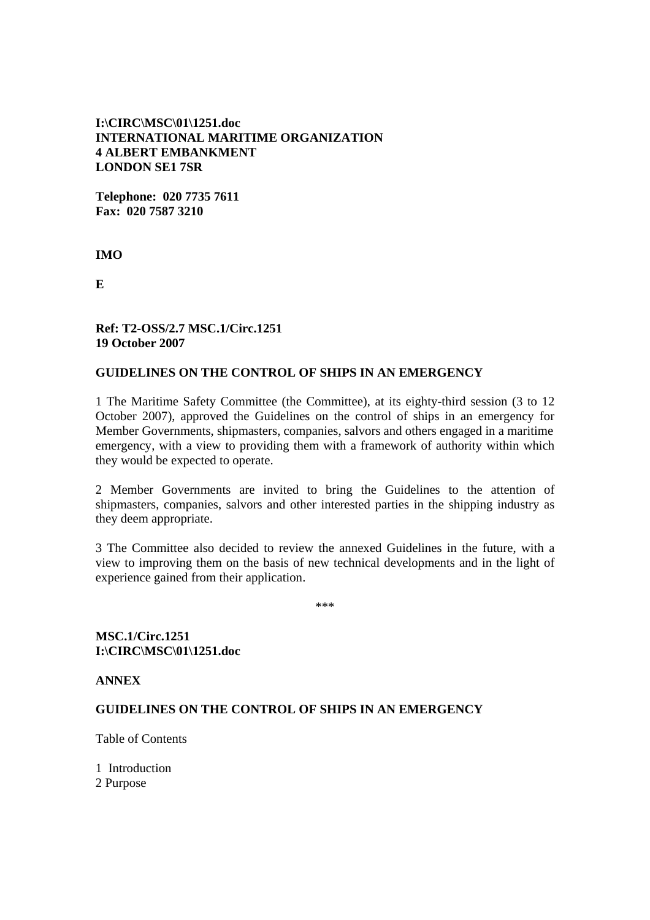# **I:\CIRC\MSC\01\1251.doc INTERNATIONAL MARITIME ORGANIZATION 4 ALBERT EMBANKMENT LONDON SE1 7SR**

**Telephone: 020 7735 7611 Fax: 020 7587 3210** 

**IMO** 

**E** 

## **Ref: T2-OSS/2.7 MSC.1/Circ.1251 19 October 2007**

## **GUIDELINES ON THE CONTROL OF SHIPS IN AN EMERGENCY**

1 The Maritime Safety Committee (the Committee), at its eighty-third session (3 to 12 October 2007), approved the Guidelines on the control of ships in an emergency for Member Governments, shipmasters, companies, salvors and others engaged in a maritime emergency, with a view to providing them with a framework of authority within which they would be expected to operate.

2 Member Governments are invited to bring the Guidelines to the attention of shipmasters, companies, salvors and other interested parties in the shipping industry as they deem appropriate.

3 The Committee also decided to review the annexed Guidelines in the future, with a view to improving them on the basis of new technical developments and in the light of experience gained from their application.

\*\*\*

**MSC.1/Circ.1251 I:\CIRC\MSC\01\1251.doc** 

**ANNEX** 

## **GUIDELINES ON THE CONTROL OF SHIPS IN AN EMERGENCY**

Table of Contents

1 Introduction 2 Purpose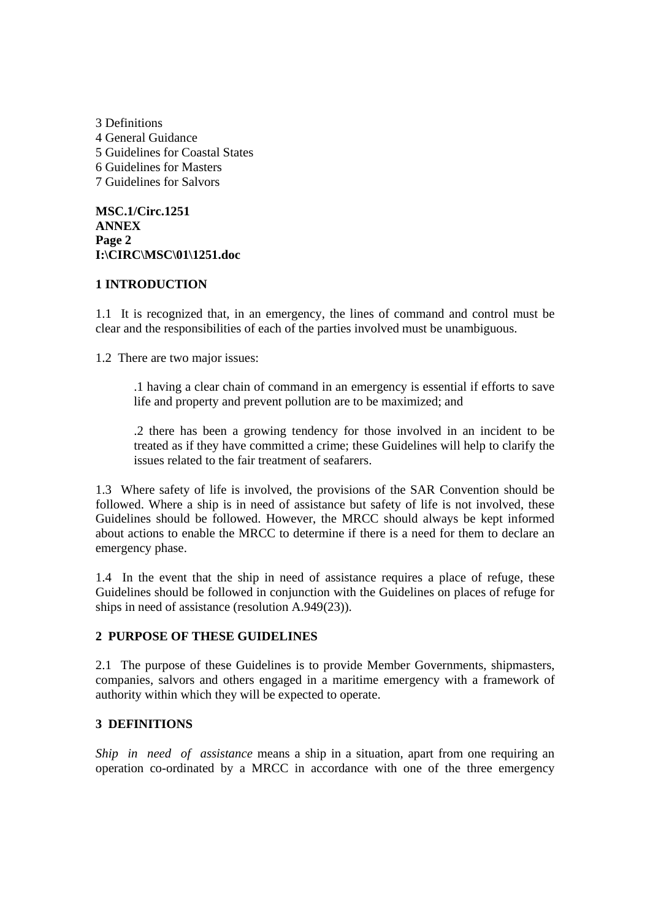3 Definitions 4 General Guidance 5 Guidelines for Coastal States 6 Guidelines for Masters 7 Guidelines for Salvors

**MSC.1/Circ.1251 ANNEX Page 2 I:\CIRC\MSC\01\1251.doc** 

#### **1 INTRODUCTION**

1.1 It is recognized that, in an emergency, the lines of command and control must be clear and the responsibilities of each of the parties involved must be unambiguous.

1.2 There are two major issues:

.1 having a clear chain of command in an emergency is essential if efforts to save life and property and prevent pollution are to be maximized; and

.2 there has been a growing tendency for those involved in an incident to be treated as if they have committed a crime; these Guidelines will help to clarify the issues related to the fair treatment of seafarers.

1.3 Where safety of life is involved, the provisions of the SAR Convention should be followed. Where a ship is in need of assistance but safety of life is not involved, these Guidelines should be followed. However, the MRCC should always be kept informed about actions to enable the MRCC to determine if there is a need for them to declare an emergency phase.

1.4 In the event that the ship in need of assistance requires a place of refuge, these Guidelines should be followed in conjunction with the Guidelines on places of refuge for ships in need of assistance (resolution A.949(23)).

## **2 PURPOSE OF THESE GUIDELINES**

2.1 The purpose of these Guidelines is to provide Member Governments, shipmasters, companies, salvors and others engaged in a maritime emergency with a framework of authority within which they will be expected to operate.

## **3 DEFINITIONS**

*Ship in need of assistance* means a ship in a situation, apart from one requiring an operation co-ordinated by a MRCC in accordance with one of the three emergency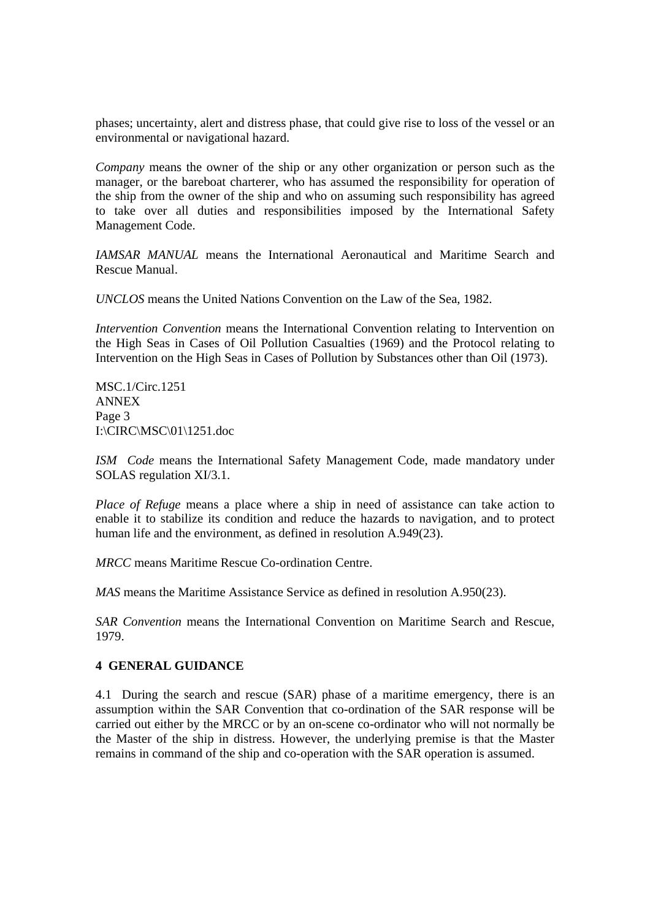phases; uncertainty, alert and distress phase, that could give rise to loss of the vessel or an environmental or navigational hazard.

*Company* means the owner of the ship or any other organization or person such as the manager, or the bareboat charterer, who has assumed the responsibility for operation of the ship from the owner of the ship and who on assuming such responsibility has agreed to take over all duties and responsibilities imposed by the International Safety Management Code.

*IAMSAR MANUAL* means the International Aeronautical and Maritime Search and Rescue Manual.

*UNCLOS* means the United Nations Convention on the Law of the Sea, 1982.

*Intervention Convention* means the International Convention relating to Intervention on the High Seas in Cases of Oil Pollution Casualties (1969) and the Protocol relating to Intervention on the High Seas in Cases of Pollution by Substances other than Oil (1973).

MSC.1/Circ.1251 ANNEX Page 3 I:\CIRC\MSC\01\1251.doc

*ISM Code* means the International Safety Management Code, made mandatory under SOLAS regulation XI/3.1.

*Place of Refuge* means a place where a ship in need of assistance can take action to enable it to stabilize its condition and reduce the hazards to navigation, and to protect human life and the environment, as defined in resolution A.949(23).

*MRCC* means Maritime Rescue Co-ordination Centre.

*MAS* means the Maritime Assistance Service as defined in resolution A.950(23).

*SAR Convention* means the International Convention on Maritime Search and Rescue, 1979.

#### **4 GENERAL GUIDANCE**

4.1 During the search and rescue (SAR) phase of a maritime emergency, there is an assumption within the SAR Convention that co-ordination of the SAR response will be carried out either by the MRCC or by an on-scene co-ordinator who will not normally be the Master of the ship in distress. However, the underlying premise is that the Master remains in command of the ship and co-operation with the SAR operation is assumed.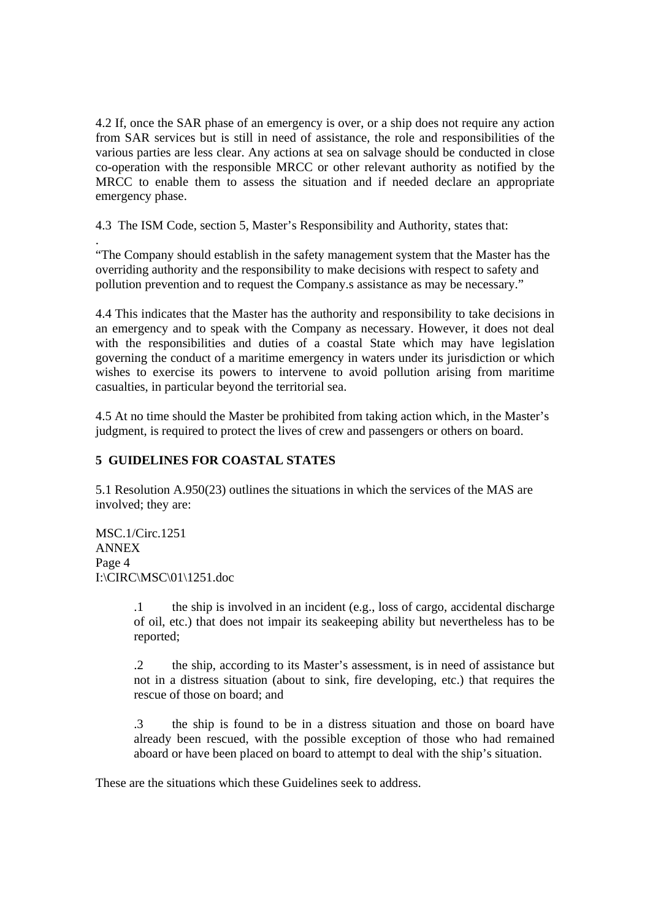4.2 If, once the SAR phase of an emergency is over, or a ship does not require any action from SAR services but is still in need of assistance, the role and responsibilities of the various parties are less clear. Any actions at sea on salvage should be conducted in close co-operation with the responsible MRCC or other relevant authority as notified by the MRCC to enable them to assess the situation and if needed declare an appropriate emergency phase.

4.3 The ISM Code, section 5, Master's Responsibility and Authority, states that:

. "The Company should establish in the safety management system that the Master has the overriding authority and the responsibility to make decisions with respect to safety and pollution prevention and to request the Company.s assistance as may be necessary."

4.4 This indicates that the Master has the authority and responsibility to take decisions in an emergency and to speak with the Company as necessary. However, it does not deal with the responsibilities and duties of a coastal State which may have legislation governing the conduct of a maritime emergency in waters under its jurisdiction or which wishes to exercise its powers to intervene to avoid pollution arising from maritime casualties, in particular beyond the territorial sea.

4.5 At no time should the Master be prohibited from taking action which, in the Master's judgment, is required to protect the lives of crew and passengers or others on board.

# **5 GUIDELINES FOR COASTAL STATES**

5.1 Resolution A.950(23) outlines the situations in which the services of the MAS are involved; they are:

MSC.1/Circ.1251 ANNEX Page 4 I:\CIRC\MSC\01\1251.doc

> .1 the ship is involved in an incident (e.g., loss of cargo, accidental discharge of oil, etc.) that does not impair its seakeeping ability but nevertheless has to be reported;

> .2 the ship, according to its Master's assessment, is in need of assistance but not in a distress situation (about to sink, fire developing, etc.) that requires the rescue of those on board; and

> .3 the ship is found to be in a distress situation and those on board have already been rescued, with the possible exception of those who had remained aboard or have been placed on board to attempt to deal with the ship's situation.

These are the situations which these Guidelines seek to address.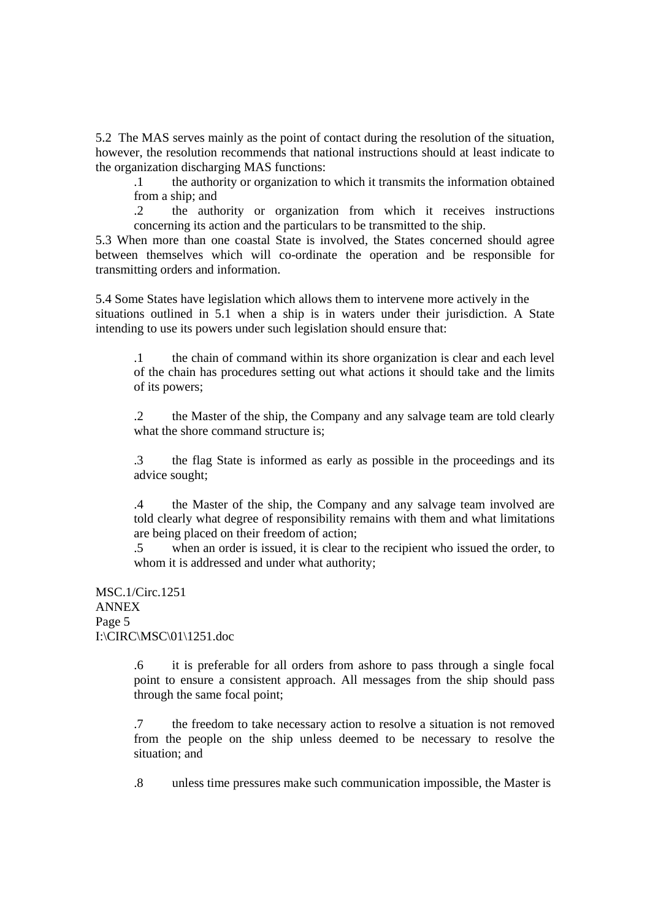5.2 The MAS serves mainly as the point of contact during the resolution of the situation, however, the resolution recommends that national instructions should at least indicate to the organization discharging MAS functions:

.1 the authority or organization to which it transmits the information obtained from a ship; and

.2 the authority or organization from which it receives instructions concerning its action and the particulars to be transmitted to the ship.

5.3 When more than one coastal State is involved, the States concerned should agree between themselves which will co-ordinate the operation and be responsible for transmitting orders and information.

5.4 Some States have legislation which allows them to intervene more actively in the situations outlined in 5.1 when a ship is in waters under their jurisdiction. A State intending to use its powers under such legislation should ensure that:

.1 the chain of command within its shore organization is clear and each level of the chain has procedures setting out what actions it should take and the limits of its powers;

.2 the Master of the ship, the Company and any salvage team are told clearly what the shore command structure is:

.3 the flag State is informed as early as possible in the proceedings and its advice sought;

.4 the Master of the ship, the Company and any salvage team involved are told clearly what degree of responsibility remains with them and what limitations are being placed on their freedom of action;

.5 when an order is issued, it is clear to the recipient who issued the order, to whom it is addressed and under what authority;

MSC.1/Circ.1251 ANNEX Page 5 I:\CIRC\MSC\01\1251.doc

> .6 it is preferable for all orders from ashore to pass through a single focal point to ensure a consistent approach. All messages from the ship should pass through the same focal point;

> .7 the freedom to take necessary action to resolve a situation is not removed from the people on the ship unless deemed to be necessary to resolve the situation; and

> .8 unless time pressures make such communication impossible, the Master is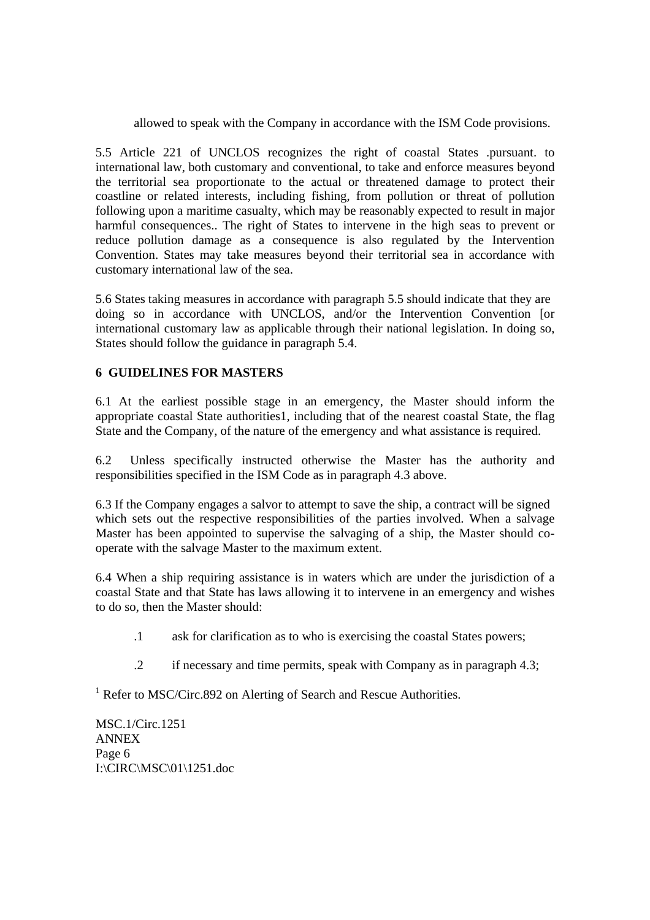allowed to speak with the Company in accordance with the ISM Code provisions.

5.5 Article 221 of UNCLOS recognizes the right of coastal States .pursuant. to international law, both customary and conventional, to take and enforce measures beyond the territorial sea proportionate to the actual or threatened damage to protect their coastline or related interests, including fishing, from pollution or threat of pollution following upon a maritime casualty, which may be reasonably expected to result in major harmful consequences.. The right of States to intervene in the high seas to prevent or reduce pollution damage as a consequence is also regulated by the Intervention Convention. States may take measures beyond their territorial sea in accordance with customary international law of the sea.

5.6 States taking measures in accordance with paragraph 5.5 should indicate that they are doing so in accordance with UNCLOS, and/or the Intervention Convention [or international customary law as applicable through their national legislation. In doing so, States should follow the guidance in paragraph 5.4.

## **6 GUIDELINES FOR MASTERS**

6.1 At the earliest possible stage in an emergency, the Master should inform the appropriate coastal State authorities1, including that of the nearest coastal State, the flag State and the Company, of the nature of the emergency and what assistance is required.

6.2 Unless specifically instructed otherwise the Master has the authority and responsibilities specified in the ISM Code as in paragraph 4.3 above.

6.3 If the Company engages a salvor to attempt to save the ship, a contract will be signed which sets out the respective responsibilities of the parties involved. When a salvage Master has been appointed to supervise the salvaging of a ship, the Master should cooperate with the salvage Master to the maximum extent.

6.4 When a ship requiring assistance is in waters which are under the jurisdiction of a coastal State and that State has laws allowing it to intervene in an emergency and wishes to do so, then the Master should:

- .1 ask for clarification as to who is exercising the coastal States powers;
- .2 if necessary and time permits, speak with Company as in paragraph 4.3;

<sup>1</sup> Refer to MSC/Circ.892 on Alerting of Search and Rescue Authorities.

MSC.1/Circ.1251 ANNEX Page 6 I:\CIRC\MSC\01\1251.doc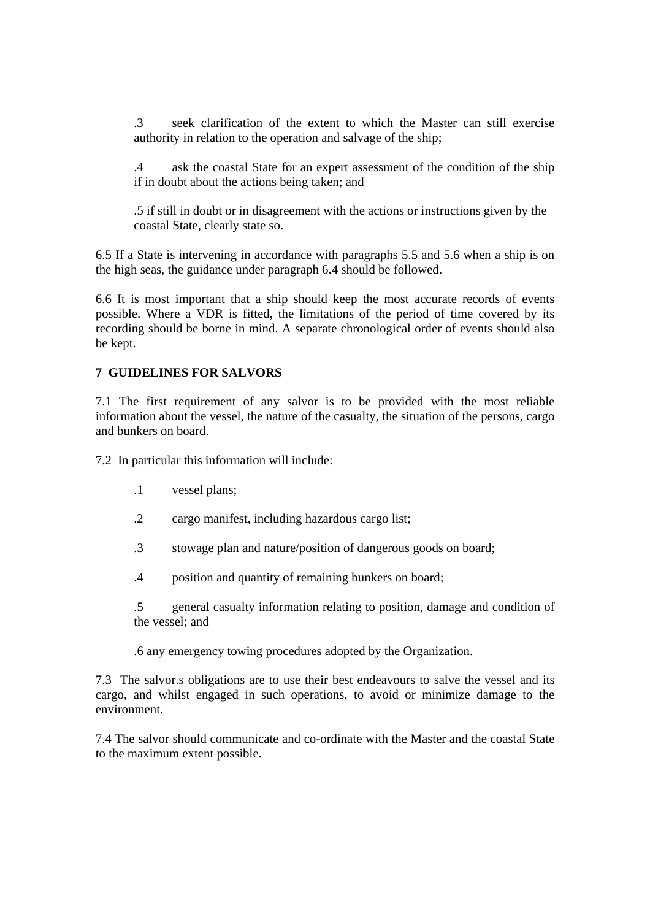.3 seek clarification of the extent to which the Master can still exercise authority in relation to the operation and salvage of the ship;

.4 ask the coastal State for an expert assessment of the condition of the ship if in doubt about the actions being taken; and

.5 if still in doubt or in disagreement with the actions or instructions given by the coastal State, clearly state so.

6.5 If a State is intervening in accordance with paragraphs 5.5 and 5.6 when a ship is on the high seas, the guidance under paragraph 6.4 should be followed.

6.6 It is most important that a ship should keep the most accurate records of events possible. Where a VDR is fitted, the limitations of the period of time covered by its recording should be borne in mind. A separate chronological order of events should also be kept.

## **7 GUIDELINES FOR SALVORS**

7.1 The first requirement of any salvor is to be provided with the most reliable information about the vessel, the nature of the casualty, the situation of the persons, cargo and bunkers on board.

7.2 In particular this information will include:

- .1 vessel plans;
- .2 cargo manifest, including hazardous cargo list;
- .3 stowage plan and nature/position of dangerous goods on board;
- .4 position and quantity of remaining bunkers on board;

.5 general casualty information relating to position, damage and condition of the vessel; and

.6 any emergency towing procedures adopted by the Organization.

7.3 The salvor.s obligations are to use their best endeavours to salve the vessel and its cargo, and whilst engaged in such operations, to avoid or minimize damage to the environment.

7.4 The salvor should communicate and co-ordinate with the Master and the coastal State to the maximum extent possible.